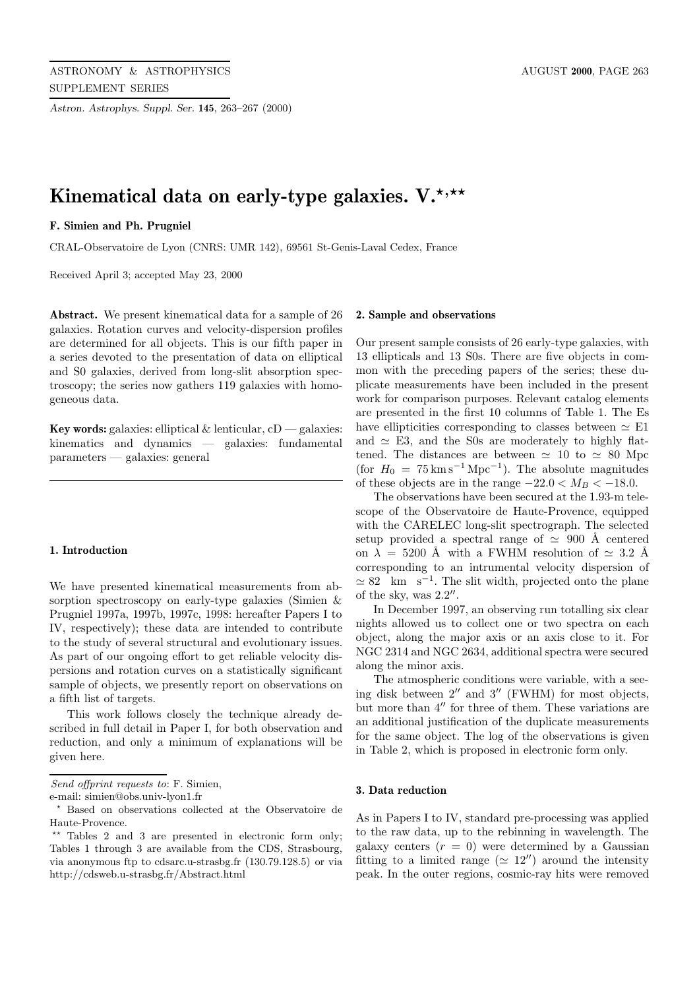*Astron. Astrophys. Suppl. Ser.* **145**, 263–267 (2000)

# Kinematical data on early-type galaxies. V.<sup>\*,\*\*</sup>

# **F. Simien and Ph. Prugniel**

CRAL-Observatoire de Lyon (CNRS: UMR 142), 69561 St-Genis-Laval Cedex, France

Received April 3; accepted May 23, 2000

**Abstract.** We present kinematical data for a sample of 26 galaxies. Rotation curves and velocity-dispersion profiles are determined for all objects. This is our fifth paper in a series devoted to the presentation of data on elliptical and S0 galaxies, derived from long-slit absorption spectroscopy; the series now gathers 119 galaxies with homogeneous data.

**Key words:** galaxies: elliptical  $\&$  lenticular,  $cD$  — galaxies: kinematics and dynamics — galaxies: fundamental parameters — galaxies: general

#### **1. Introduction**

We have presented kinematical measurements from absorption spectroscopy on early-type galaxies (Simien & Prugniel 1997a, 1997b, 1997c, 1998: hereafter Papers I to IV, respectively); these data are intended to contribute to the study of several structural and evolutionary issues. As part of our ongoing effort to get reliable velocity dispersions and rotation curves on a statistically significant sample of objects, we presently report on observations on a fifth list of targets.

This work follows closely the technique already described in full detail in Paper I, for both observation and reduction, and only a minimum of explanations will be given here.

e-mail: simien@obs.univ-lyon1.fr

# **2. Sample and observations**

Our present sample consists of 26 early-type galaxies, with 13 ellipticals and 13 S0s. There are five objects in common with the preceding papers of the series; these duplicate measurements have been included in the present work for comparison purposes. Relevant catalog elements are presented in the first 10 columns of Table 1. The Es have ellipticities corresponding to classes between  $\simeq$  E1 and  $\simeq$  E3, and the S0s are moderately to highly flattened. The distances are between  $\simeq$  10 to  $\simeq$  80 Mpc (for  $H_0 = 75 \,\mathrm{km\,s^{-1}\,Mpc^{-1}}$ ). The absolute magnitudes of these objects are in the range  $-22.0 < M_B < -18.0$ .

The observations have been secured at the 1.93-m telescope of the Observatoire de Haute-Provence, equipped with the CARELEC long-slit spectrograph. The selected setup provided a spectral range of  $\simeq$  900 Å centered on  $\lambda = 5200$  Å with a FWHM resolution of  $\simeq 3.2$  Å corresponding to an intrumental velocity dispersion of  $\simeq 82$  km s<sup>-1</sup>. The slit width, projected onto the plane of the sky, was  $2.2$ ".

In December 1997, an observing run totalling six clear nights allowed us to collect one or two spectra on each object, along the major axis or an axis close to it. For NGC 2314 and NGC 2634, additional spectra were secured along the minor axis.

The atmospheric conditions were variable, with a seeing disk between  $2^{\prime\prime}$  and  $3^{\prime\prime}$  (FWHM) for most objects, but more than  $4''$  for three of them. These variations are an additional justification of the duplicate measurements for the same object. The log of the observations is given in Table 2, which is proposed in electronic form only.

## **3. Data reduction**

As in Papers I to IV, standard pre-processing was applied to the raw data, up to the rebinning in wavelength. The galaxy centers  $(r = 0)$  were determined by a Gaussian fitting to a limited range ( $\simeq 12''$ ) around the intensity peak. In the outer regions, cosmic-ray hits were removed

Send offprint requests to: F. Simien,

<sup>?</sup> Based on observations collected at the Observatoire de Haute-Provence.

 $**$  Tables 2 and 3 are presented in electronic form only; Tables 1 through 3 are available from the CDS, Strasbourg, via anonymous ftp to cdsarc.u-strasbg.fr (130.79.128.5) or via http://cdsweb.u-strasbg.fr/Abstract.html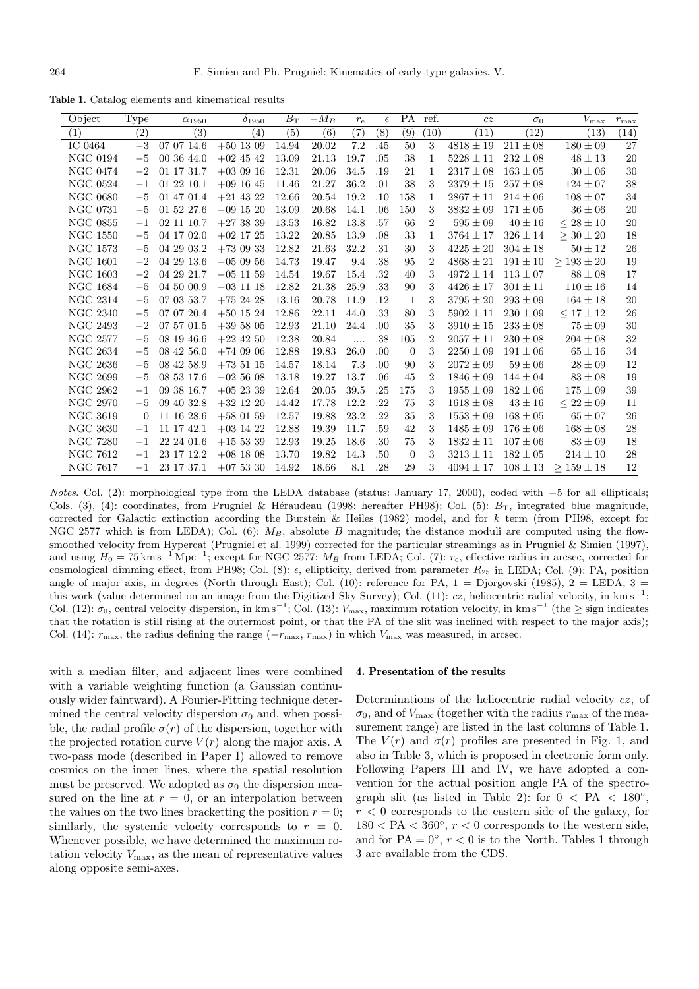**Table 1.** Catalog elements and kinematical results

| Object          | Type             | $\alpha_{1950}$   | $\delta_{1950}$   | $B_{\rm T}$       | $-M_B$       | $r_{\rm e}$ | $\epsilon$ | <b>PA</b>      | ref.           | cz            | $\sigma_0$              | $V_{\rm max}$      | $r_{\rm max}$     |
|-----------------|------------------|-------------------|-------------------|-------------------|--------------|-------------|------------|----------------|----------------|---------------|-------------------------|--------------------|-------------------|
| (1)             | $\overline{(2)}$ | $\left( 3\right)$ | $\left( 4\right)$ | $\left( 5\right)$ | $^{\rm (6)}$ | (7)         | $^{(8)}$   | (9)            | (10)           | (11)          | (12)                    | $\left( 13\right)$ | $\left(14\right)$ |
| IC 0464         | $-3$             | 07 07 14.6        | $+50$ 13 09       | 14.94             | 20.02        | 7.2         | .45        | 50             | 3              | $4818 \pm 19$ | $\overline{21}1 \pm 08$ | $180 \pm 09$       | 27                |
| <b>NGC 0194</b> | $-5$             | 00 36 44.0        | $+02$ 45 42       | 13.09             | 21.13        | 19.7        | .05        | 38             | 1              | $5228 \pm 11$ | $232\pm08$              | $48 \pm 13$        | 20                |
| <b>NGC 0474</b> | $-2$             | 01 17 31.7        | $+030916$         | 12.31             | 20.06        | 34.5        | .19        | 21             | 1              | $2317 \pm 08$ | $163 \pm 05$            | $30 \pm 06$        | 30                |
| <b>NGC 0524</b> | $-1$             | 01 22 10.1        | $+09$ 16 45       | 11.46             | 21.27        | 36.2        | .01        | 38             | 3              | $2379 \pm 15$ | $257 \pm 08$            | $124 \pm 07$       | 38                |
| <b>NGC 0680</b> | $-5$             | 01 47 01.4        | $+21$ 43 22       | 12.66             | 20.54        | 19.2        | .10        | 158            | $\mathbf{1}$   | $2867 \pm 11$ | $214 \pm 06$            | $108 \pm 07$       | 34                |
| <b>NGC 0731</b> | $-5$             | 01 52 27.6        | $-09$ 15 20       | 13.09             | 20.68        | 14.1        | .06        | 150            | 3              | $3832\pm09$   | $171 \pm 05$            | $36 \pm 06$        | 20                |
| <b>NGC 0855</b> | $^{-1}$          | 02 11 10.7        | $+273839$         | 13.53             | 16.82        | 13.8        | .57        | 66             | $\overline{2}$ | $595 \pm 09$  | $40\pm16$               | $\leq 28 \pm 10$   | 20                |
| <b>NGC 1550</b> | $-5$             | 04 17 02.0        | $+02$ 17 25       | 13.22             | 20.85        | 13.9        | .08        | 33             | $\mathbf{1}$   | $3764 \pm 17$ | $326\pm14$              | $\geq 30 \pm 20$   | 18                |
| <b>NGC 1573</b> | $-5$             | 04 29 03.2        | $+73$ 09 33       | 12.82             | 21.63        | 32.2        | .31        | 30             | 3              | $4225 \pm 20$ | $304 \pm 18$            | $50\pm12$          | 26                |
| <b>NGC 1601</b> | $-2$             | 04 29 13.6        | $-050956$         | 14.73             | 19.47        | 9.4         | .38        | 95             | $\overline{2}$ | $4868 \pm 21$ | $191 \pm 10$            | $\geq 193 \pm 20$  | 19                |
| <b>NGC 1603</b> | $-2$             | 04 29 21.7        | $-05$ 11 59       | 14.54             | 19.67        | 15.4        | .32        | 40             | 3              | $4972 \pm 14$ | $113 \pm 07$            | $88 \pm 08$        | 17                |
| <b>NGC 1684</b> | $-5$             | 04 50 00.9        | $-03$ 11 18       | 12.82             | 21.38        | 25.9        | .33        | 90             | 3              | $4426 \pm 17$ | $301\pm11$              | $110 \pm 16$       | 14                |
| <b>NGC 2314</b> | $-5$             | 07 03 53.7        | $+752428$         | 13.16             | 20.78        | 11.9        | .12        | 1              | 3              | $3795 \pm 20$ | $293\pm09$              | $164 \pm 18$       | 20                |
| <b>NGC 2340</b> | $-5$             | 07 07 20.4        | $+50$ 15 24       | 12.86             | 22.11        | 44.0        | .33        | 80             | 3              | $5902 \pm 11$ | $230 \pm 09$            | $< 17 \pm 12$      | 26                |
| NGC 2493        | $-2$             | 07 57 01.5        | $+395805$         | 12.93             | 21.10        | 24.4        | .00        | 35             | 3              | $3910 \pm 15$ | $233\pm08$              | $75 \pm 09$        | 30                |
| <b>NGC 2577</b> | $-5$             | 08 19 46.6        | $+22$ 42 50       | 12.38             | 20.84        | .           | .38        | 105            | $\overline{2}$ | $2057 \pm 11$ | $230 \pm 08$            | $204 \pm 08$       | 32                |
| <b>NGC 2634</b> | $-5$             | 08 42 56.0        | $+740906$         | 12.88             | 19.83        | 26.0        | .00        | $\overline{0}$ | 3              | $2250 \pm 09$ | $191 \pm 06$            | $65 \pm 16$        | 34                |
| NGC 2636        | $-5$             | 08 42 58.9        | $+735115$         | 14.57             | 18.14        | 7.3         | .00        | 90             | 3              | $2072 \pm 09$ | $59 \pm 06$             | $28 \pm 09$        | 12                |
| <b>NGC 2699</b> | $-5$             | 08 53 17.6        | $-025608$         | 13.18             | 19.27        | 13.7        | .06        | 45             | $\overline{2}$ | $1846 \pm 09$ | $144 \pm 04$            | $83\pm08$          | 19                |
| NGC 2962        | $^{-1}$          | 09 38 16.7        | $+052339$         | 12.64             | 20.05        | 39.5        | .25        | 175            | 3              | $1955 \pm 09$ | $182 \pm 06$            | $175 \pm 09$       | 39                |
| NGC 2970        | $-5$             | 09 40 32.8        | $+32$ 12 20       | 14.42             | 17.78        | 12.2        | .22        | 75             | 3              | $1618 \pm 08$ | $43 \pm 16$             | $\leq 22\pm 09$    | 11                |
| <b>NGC 3619</b> | $\theta$         | 11 16 28.6        | $+58$ 01 59       | 12.57             | 19.88        | 23.2        | .22        | 35             | 3              | $1553 \pm 09$ | $168 \pm 05$            | $65 \pm 07$        | 26                |
| <b>NGC 3630</b> | $^{-1}$          | 11 17 42.1        | $+03$ 14 22       | 12.88             | 19.39        | 11.7        | .59        | 42             | 3              | $1485 \pm 09$ | $176 \pm 06$            | $168 \pm 08$       | 28                |
| <b>NGC 7280</b> | $^{-1}$          | 22 24 01.6        | $+15\;53\;39$     | 12.93             | 19.25        | 18.6        | .30        | 75             | 3              | $1832 \pm 11$ | $107 \pm 06$            | $83\pm09$          | 18                |
| <b>NGC 7612</b> | $-1$             | 23 17 12.2        | $+08$ 18 08       | 13.70             | 19.82        | 14.3        | .50        | $\overline{0}$ | 3              | $3213 \pm 11$ | $182 \pm 05$            | $214 \pm 10$       | 28                |
| <b>NGC 7617</b> | $-1$             | 23 17 37.1        | $+075330$         | 14.92             | 18.66        | 8.1         | .28        | 29             | 3              | $4094 \pm 17$ | $108 \pm 13$            | $> 159 \pm 18$     | 12                |

Notes. Col. (2): morphological type from the LEDA database (status: January 17, 2000), coded with −5 for all ellipticals; Cols. (3), (4): coordinates, from Prugniel & Héraudeau (1998: hereafter PH98); Col. (5):  $B_T$ , integrated blue magnitude, corrected for Galactic extinction according the Burstein & Heiles (1982) model, and for k term (from PH98, except for NGC 2577 which is from LEDA); Col. (6):  $M_B$ , absolute B magnitude; the distance moduli are computed using the flowsmoothed velocity from Hypercat (Prugniel et al. 1999) corrected for the particular streamings as in Prugniel & Simien (1997), and using  $H_0 = 75 \text{ km s}^{-1} \text{ Mpc}^{-1}$ ; except for NGC 2577:  $M_B$  from LEDA; Col. (7):  $r_e$ , effective radius in arcsec, corrected for cosmological dimming effect, from PH98; Col. (8):  $\epsilon$ , ellipticity, derived from parameter  $R_{25}$  in LEDA; Col. (9): PA, position angle of major axis, in degrees (North through East); Col. (10): reference for PA,  $1 =$  Djorgovski (1985),  $2 =$  LEDA,  $3 =$ this work (value determined on an image from the Digitized Sky Survey); Col. (11): cz, heliocentric radial velocity, in km s<sup>-1</sup>; Col. (12):  $\sigma_0$ , central velocity dispersion, in km s<sup>-1</sup>; Col. (13):  $V_{\text{max}}$ , maximum rotation velocity, in km s<sup>-1</sup> (the ≥ sign indicates that the rotation is still rising at the outermost point, or that the PA of the slit was inclined with respect to the major axis); Col. (14):  $r_{\text{max}}$ , the radius defining the range ( $-r_{\text{max}}$ ,  $r_{\text{max}}$ ) in which  $V_{\text{max}}$  was measured, in arcsec.

with a median filter, and adjacent lines were combined with a variable weighting function (a Gaussian continuously wider faintward). A Fourier-Fitting technique determined the central velocity dispersion  $\sigma_0$  and, when possible, the radial profile  $\sigma(r)$  of the dispersion, together with the projected rotation curve  $V(r)$  along the major axis. A two-pass mode (described in Paper I) allowed to remove cosmics on the inner lines, where the spatial resolution must be preserved. We adopted as  $\sigma_0$  the dispersion measured on the line at  $r = 0$ , or an interpolation between the values on the two lines bracketting the position  $r = 0$ ; similarly, the systemic velocity corresponds to  $r = 0$ . Whenever possible, we have determined the maximum rotation velocity  $V_{\text{max}}$ , as the mean of representative values along opposite semi-axes.

#### **4. Presentation of the results**

Determinations of the heliocentric radial velocity cz, of  $\sigma_0$ , and of  $V_{\text{max}}$  (together with the radius  $r_{\text{max}}$  of the measurement range) are listed in the last columns of Table 1. The  $V(r)$  and  $\sigma(r)$  profiles are presented in Fig. 1, and also in Table 3, which is proposed in electronic form only. Following Papers III and IV, we have adopted a convention for the actual position angle PA of the spectrograph slit (as listed in Table 2): for  $0 < PA < 180^{\circ}$ ,  $r < 0$  corresponds to the eastern side of the galaxy, for  $180 < PA < 360^{\circ}$ ,  $r < 0$  corresponds to the western side, and for PA =  $0^\circ$ ,  $r < 0$  is to the North. Tables 1 through 3 are available from the CDS.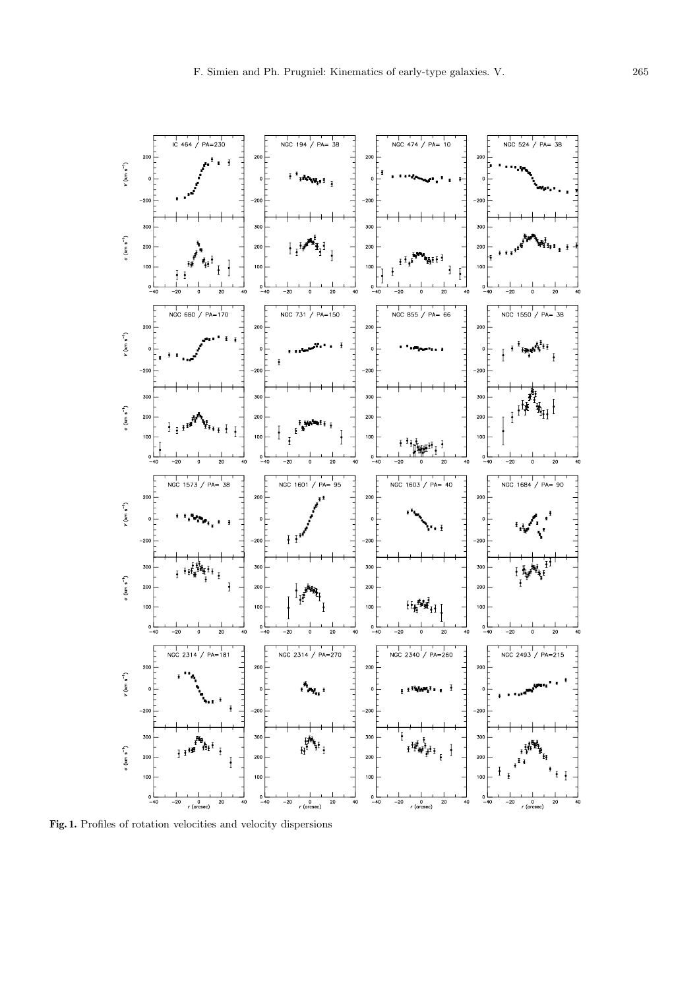

**Fig. 1.** Profiles of rotation velocities and velocity dispersions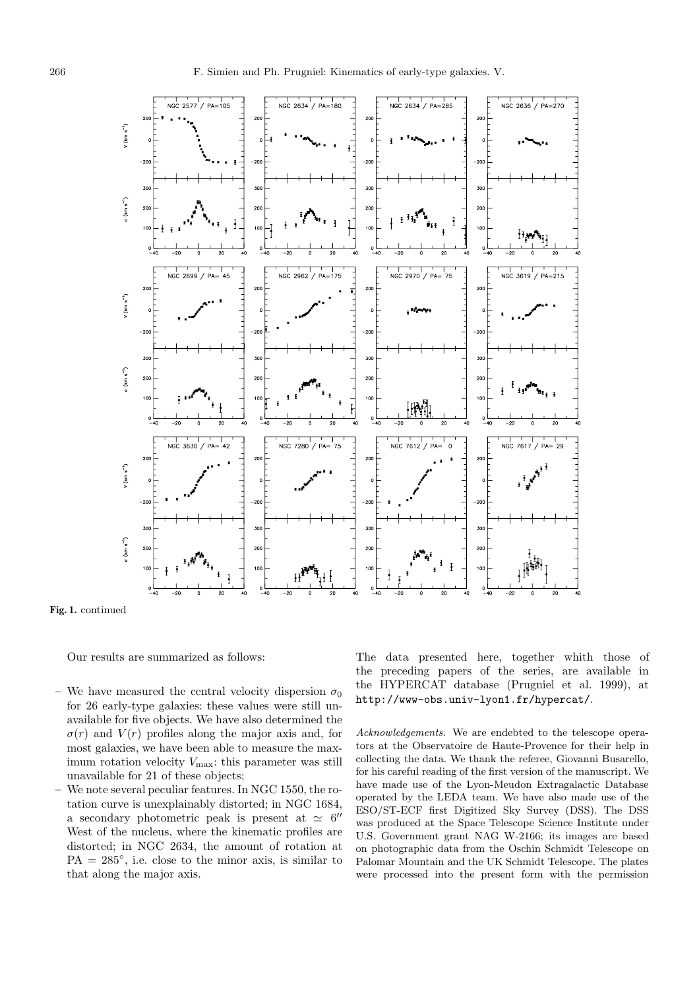

**Fig. 1.** continued

Our results are summarized as follows:

- We have measured the central velocity dispersion  $\sigma_0$ for 26 early-type galaxies: these values were still unavailable for five objects. We have also determined the  $\sigma(r)$  and  $V(r)$  profiles along the major axis and, for most galaxies, we have been able to measure the maximum rotation velocity  $V_{\text{max}}$ : this parameter was still unavailable for 21 of these objects;
- **–** We note several peculiar features. In NGC 1550, the rotation curve is unexplainably distorted; in NGC 1684, a secondary photometric peak is present at  $\simeq 6$ <sup>"</sup> West of the nucleus, where the kinematic profiles are distorted; in NGC 2634, the amount of rotation at  $PA = 285^{\circ}$ , i.e. close to the minor axis, is similar to that along the major axis.

The data presented here, together whith those of the preceding papers of the series, are available in the HYPERCAT database (Prugniel et al. 1999), at http://www-obs.univ-lyon1.fr/hypercat/.

Acknowledgements. We are endebted to the telescope operators at the Observatoire de Haute-Provence for their help in collecting the data. We thank the referee, Giovanni Busarello, for his careful reading of the first version of the manuscript. We have made use of the Lyon-Meudon Extragalactic Database operated by the LEDA team. We have also made use of the ESO/ST-ECF first Digitized Sky Survey (DSS). The DSS was produced at the Space Telescope Science Institute under U.S. Government grant NAG W-2166; its images are based on photographic data from the Oschin Schmidt Telescope on Palomar Mountain and the UK Schmidt Telescope. The plates were processed into the present form with the permission